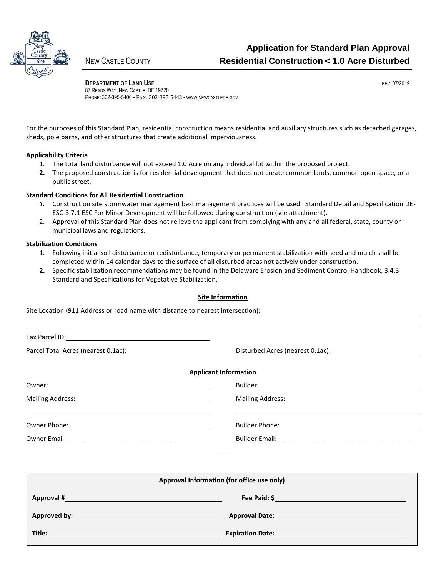

**DEPARTMENT OF LAND USE REV. 07/2019** 87 READS WAY, NEW CASTLE, DE 19720 PHONE: 302-395-5400 • FAX: 302-395-5443 • WWW.NEWCASTLEDE.GOV

For the purposes of this Standard Plan, residential construction means residential and auxiliary structures such as detached garages, sheds, pole barns, and other structures that create additional imperviousness.

### **Applicability Criteria**

- 1. The total land disturbance will not exceed 1.0 Acre on any individual lot within the proposed project.
- **2.** The proposed construction is for residential development that does not create common lands, common open space, or a public street.

## **Standard Conditions for All Residential Construction**

- *1.* Construction site stormwater management best management practices will be used. Standard Detail and Specification DE-ESC-3.7.1 ESC For Minor Development will be followed during construction (see attachment).
- 2. Approval of this Standard Plan does not relieve the applicant from complying with any and all federal, state, county or municipal laws and regulations.

### **Stabilization Conditions**

- 1. Following initial soil disturbance or redisturbance, temporary or permanent stabilization with seed and mulch shall be completed within 14 calendar days to the surface of all disturbed areas not actively under construction.
- **2.** Specific stabilization recommendations may be found in the Delaware Erosion and Sediment Control Handbook, 3.4.3 Standard and Specifications for Vegetative Stabilization.

#### **Site Information**

Site Location (911 Address or road name with distance to nearest intersection):

|                                                                                                                                                                                                                                      | <b>Applicant Information</b>                                                                                                                                                                                                   |  |
|--------------------------------------------------------------------------------------------------------------------------------------------------------------------------------------------------------------------------------------|--------------------------------------------------------------------------------------------------------------------------------------------------------------------------------------------------------------------------------|--|
|                                                                                                                                                                                                                                      |                                                                                                                                                                                                                                |  |
|                                                                                                                                                                                                                                      | Mailing Address: Mail and Mail and Mail and Mail and Mail and Mail and Mail and Mail and Mail and Mail and Mail and Mail and Mail and Mail and Mail and Mail and Mail and Mail and Mail and Mail and Mail and Mail and Mail an |  |
| the contract of the contract of the contract of the contract of the contract of the contract of the contract of                                                                                                                      |                                                                                                                                                                                                                                |  |
|                                                                                                                                                                                                                                      |                                                                                                                                                                                                                                |  |
|                                                                                                                                                                                                                                      |                                                                                                                                                                                                                                |  |
|                                                                                                                                                                                                                                      | Approval Information (for office use only)                                                                                                                                                                                     |  |
|                                                                                                                                                                                                                                      | Fee Paid: \$                                                                                                                                                                                                                   |  |
| Approved by: <u>the contract of the contract of the contract of the contract of the contract of the contract of the contract of the contract of the contract of the contract of the contract of the contract of the contract of </u> | Approval Date: National Approval Date:                                                                                                                                                                                         |  |
|                                                                                                                                                                                                                                      |                                                                                                                                                                                                                                |  |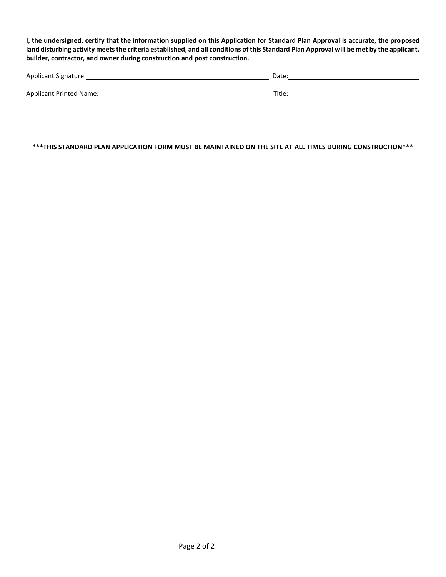**I, the undersigned, certify that the information supplied on this Application for Standard Plan Approval is accurate, the proposed land disturbing activity meets the criteria established, and all conditions of this Standard Plan Approval will be met by the applicant, builder, contractor, and owner during construction and post construction.**

| Applicant Signature:    | Date   |
|-------------------------|--------|
|                         |        |
| Applicant Printed Name: | Title. |

**\*\*\*THIS STANDARD PLAN APPLICATION FORM MUST BE MAINTAINED ON THE SITE AT ALL TIMES DURING CONSTRUCTION\*\*\***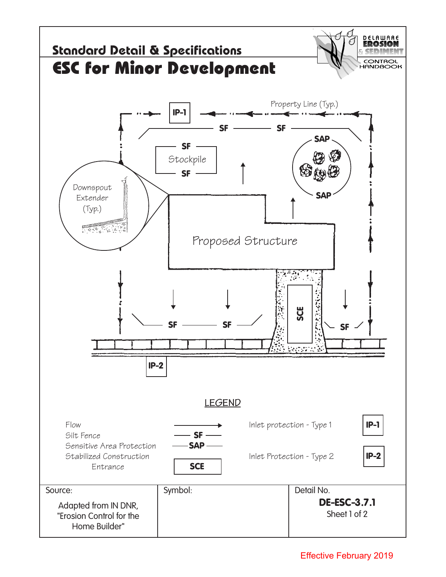